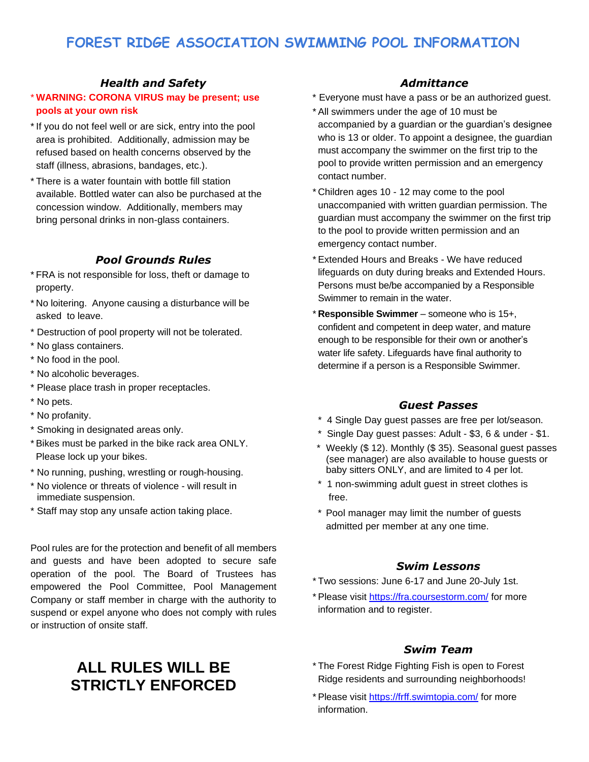# **FOREST RIDGE ASSOCIATION SWIMMING POOL INFORMATION**

### *Health and Safety*

### \* **WARNING: CORONA VIRUS may be present; use pools at your own risk**

- \*If you do not feel well or are sick, entry into the pool area is prohibited. Additionally, admission may be refused based on health concerns observed by the staff (illness, abrasions, bandages, etc.).
- \* There is a water fountain with bottle fill station available. Bottled water can also be purchased at the concession window. Additionally, members may bring personal drinks in non-glass containers.

### *Pool Grounds Rules*

- \* FRA is not responsible for loss, theft or damage to property.
- \* No loitering. Anyone causing a disturbance will be asked to leave.
- \* Destruction of pool property will not be tolerated.
- \* No glass containers.
- \* No food in the pool.
- \* No alcoholic beverages.
- \* Please place trash in proper receptacles.
- \* No pets.
- \* No profanity.
- \* Smoking in designated areas only.
- \* Bikes must be parked in the bike rack area ONLY. Please lock up your bikes.
- \* No running, pushing, wrestling or rough-housing.
- \* No violence or threats of violence will result in immediate suspension.
- \* Staff may stop any unsafe action taking place.

Pool rules are for the protection and benefit of all members and guests and have been adopted to secure safe operation of the pool. The Board of Trustees has empowered the Pool Committee, Pool Management Company or staff member in charge with the authority to suspend or expel anyone who does not comply with rules or instruction of onsite staff.

# **ALL RULES WILL BE STRICTLY ENFORCED**

#### *Admittance*

- \* Everyone must have a pass or be an authorized guest.
- \* All swimmers under the age of 10 must be accompanied by a guardian or the guardian's designee who is 13 or older. To appoint a designee, the guardian must accompany the swimmer on the first trip to the pool to provide written permission and an emergency contact number.
- \* Children ages 10 12 may come to the pool unaccompanied with written guardian permission. The guardian must accompany the swimmer on the first trip to the pool to provide written permission and an emergency contact number.
- \* Extended Hours and Breaks We have reduced lifeguards on duty during breaks and Extended Hours. Persons must be/be accompanied by a Responsible Swimmer to remain in the water.
- \* **Responsible Swimmer** someone who is 15+, confident and competent in deep water, and mature enough to be responsible for their own or another's water life safety. Lifeguards have final authority to determine if a person is a Responsible Swimmer.

#### *Guest Passes*

- \* 4 Single Day guest passes are free per lot/season.
- \* Single Day guest passes: Adult \$3, 6 & under \$1.
- \* Weekly (\$ 12). Monthly (\$ 35). Seasonal guest passes (see manager) are also available to house guests or baby sitters ONLY, and are limited to 4 per lot.
- \* 1 non-swimming adult guest in street clothes is free.
- \* Pool manager may limit the number of guests admitted per member at any one time.

#### *Swim Lessons*

- \* Two sessions: June 6-17 and June 20-July 1st.
- \* Please visit<https://fra.coursestorm.com/> for more information and to register.

#### *Swim Team*

- \* The Forest Ridge Fighting Fish is open to Forest Ridge residents and surrounding neighborhoods!
- \* Please visit<https://frff.swimtopia.com/> for more information.